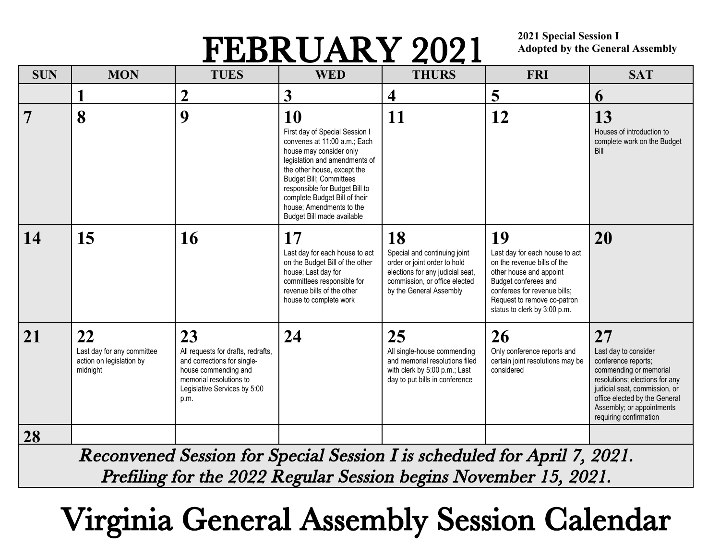## FEBRUARY 2021

**2021 Special Session I Adopted by the General Assembly**

| <b>SUN</b> | <b>MON</b>                                                               | <b>TUES</b>                                                                                                                                                        | <b>WED</b>                                                                                                                                                                                                                                                                                                              | <b>THURS</b>                                                                                                                                                       | <b>FRI</b>                                                                                                                                                                                                            | <b>SAT</b>                                                                                                                                                                                                                             |
|------------|--------------------------------------------------------------------------|--------------------------------------------------------------------------------------------------------------------------------------------------------------------|-------------------------------------------------------------------------------------------------------------------------------------------------------------------------------------------------------------------------------------------------------------------------------------------------------------------------|--------------------------------------------------------------------------------------------------------------------------------------------------------------------|-----------------------------------------------------------------------------------------------------------------------------------------------------------------------------------------------------------------------|----------------------------------------------------------------------------------------------------------------------------------------------------------------------------------------------------------------------------------------|
|            |                                                                          | 2                                                                                                                                                                  | 3                                                                                                                                                                                                                                                                                                                       | 4                                                                                                                                                                  | 5                                                                                                                                                                                                                     | 6                                                                                                                                                                                                                                      |
| 7          | 8                                                                        | 9                                                                                                                                                                  | 10<br>First day of Special Session I<br>convenes at 11:00 a.m.; Each<br>house may consider only<br>legislation and amendments of<br>the other house, except the<br>Budget Bill; Committees<br>responsible for Budget Bill to<br>complete Budget Bill of their<br>house; Amendments to the<br>Budget Bill made available | 11                                                                                                                                                                 | 12                                                                                                                                                                                                                    | 13<br>Houses of introduction to<br>complete work on the Budget<br>Bill                                                                                                                                                                 |
| 14         | 15                                                                       | 16                                                                                                                                                                 | 17<br>Last day for each house to act<br>on the Budget Bill of the other<br>house; Last day for<br>committees responsible for<br>revenue bills of the other<br>house to complete work                                                                                                                                    | 18<br>Special and continuing joint<br>order or joint order to hold<br>elections for any judicial seat,<br>commission, or office elected<br>by the General Assembly | 19<br>Last day for each house to act<br>on the revenue bills of the<br>other house and appoint<br>Budget conferees and<br>conferees for revenue bills;<br>Request to remove co-patron<br>status to clerk by 3:00 p.m. | 20                                                                                                                                                                                                                                     |
| 21         | 22<br>Last day for any committee<br>action on legislation by<br>midnight | 23<br>All requests for drafts, redrafts,<br>and corrections for single-<br>house commending and<br>memorial resolutions to<br>Legislative Services by 5:00<br>p.m. | 24                                                                                                                                                                                                                                                                                                                      | 25<br>All single-house commending<br>and memorial resolutions filed<br>with clerk by 5:00 p.m.; Last<br>day to put bills in conference                             | 26<br>Only conference reports and<br>certain joint resolutions may be<br>considered                                                                                                                                   | 27<br>Last day to consider<br>conference reports;<br>commending or memorial<br>resolutions; elections for any<br>judicial seat, commission, or<br>office elected by the General<br>Assembly; or appointments<br>requiring confirmation |
| 28         |                                                                          |                                                                                                                                                                    |                                                                                                                                                                                                                                                                                                                         |                                                                                                                                                                    |                                                                                                                                                                                                                       |                                                                                                                                                                                                                                        |

Reconvened Session for Special Session I is scheduled for April 7, 2021. Prefiling for the 2022 Regular Session begins November 15, 2021.

## Virginia General Assembly Session Calendar